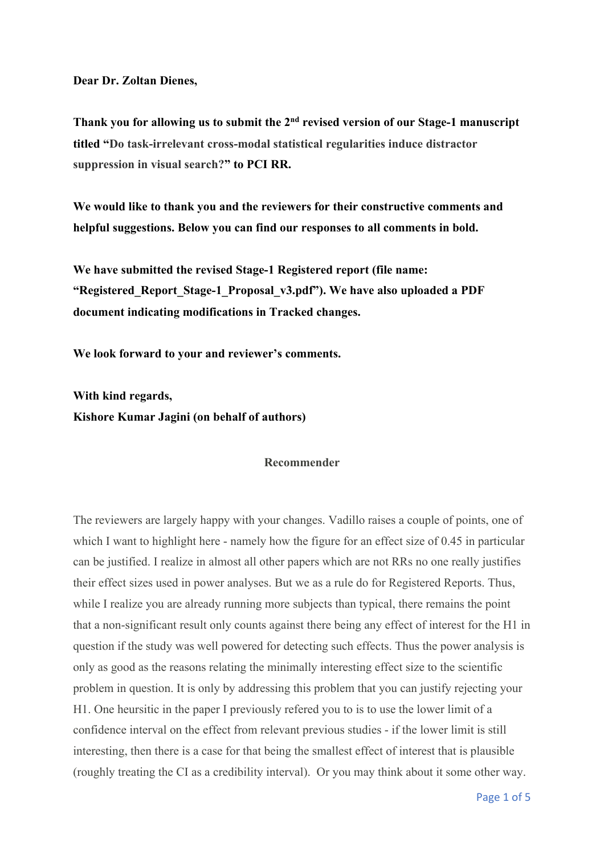**Dear Dr. Zoltan Dienes,** 

**Thank you for allowing us to submit the 2nd revised version of our Stage-1 manuscript titled "Do task-irrelevant cross-modal statistical regularities induce distractor suppression in visual search?" to PCI RR.** 

**We would like to thank you and the reviewers for their constructive comments and helpful suggestions. Below you can find our responses to all comments in bold.** 

**We have submitted the revised Stage-1 Registered report (file name: "Registered\_Report\_Stage-1\_Proposal\_v3.pdf"). We have also uploaded a PDF document indicating modifications in Tracked changes.**

**We look forward to your and reviewer's comments.** 

**With kind regards, Kishore Kumar Jagini (on behalf of authors)**

#### **Recommender**

The reviewers are largely happy with your changes. Vadillo raises a couple of points, one of which I want to highlight here - namely how the figure for an effect size of 0.45 in particular can be justified. I realize in almost all other papers which are not RRs no one really justifies their effect sizes used in power analyses. But we as a rule do for Registered Reports. Thus, while I realize you are already running more subjects than typical, there remains the point that a non-significant result only counts against there being any effect of interest for the H1 in question if the study was well powered for detecting such effects. Thus the power analysis is only as good as the reasons relating the minimally interesting effect size to the scientific problem in question. It is only by addressing this problem that you can justify rejecting your H1. One heursitic in the paper I previously refered you to is to use the lower limit of a confidence interval on the effect from relevant previous studies - if the lower limit is still interesting, then there is a case for that being the smallest effect of interest that is plausible (roughly treating the CI as a credibility interval). Or you may think about it some other way.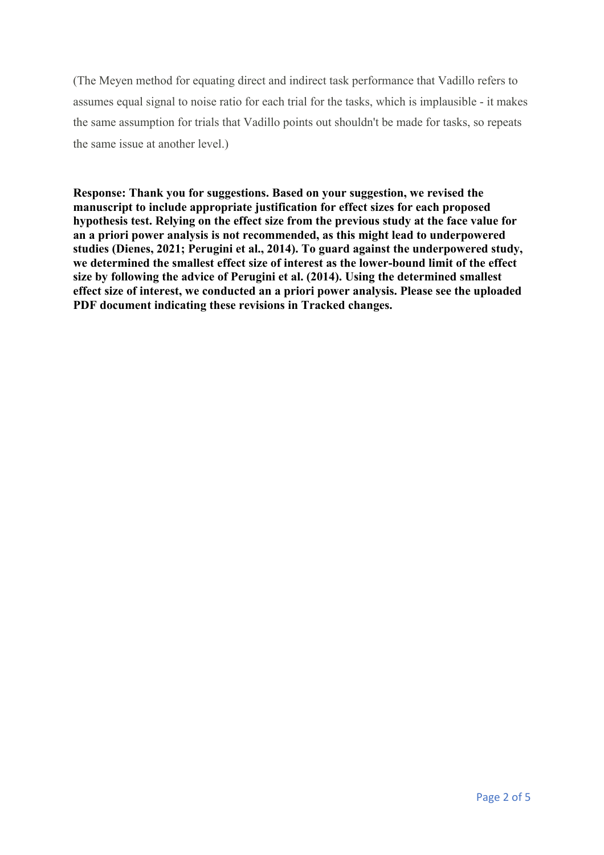(The Meyen method for equating direct and indirect task performance that Vadillo refers to assumes equal signal to noise ratio for each trial for the tasks, which is implausible - it makes the same assumption for trials that Vadillo points out shouldn't be made for tasks, so repeats the same issue at another level.)

**Response: Thank you for suggestions. Based on your suggestion, we revised the manuscript to include appropriate justification for effect sizes for each proposed hypothesis test. Relying on the effect size from the previous study at the face value for an a priori power analysis is not recommended, as this might lead to underpowered studies (Dienes, 2021; Perugini et al., 2014). To guard against the underpowered study, we determined the smallest effect size of interest as the lower-bound limit of the effect size by following the advice of Perugini et al. (2014). Using the determined smallest effect size of interest, we conducted an a priori power analysis. Please see the uploaded PDF document indicating these revisions in Tracked changes.**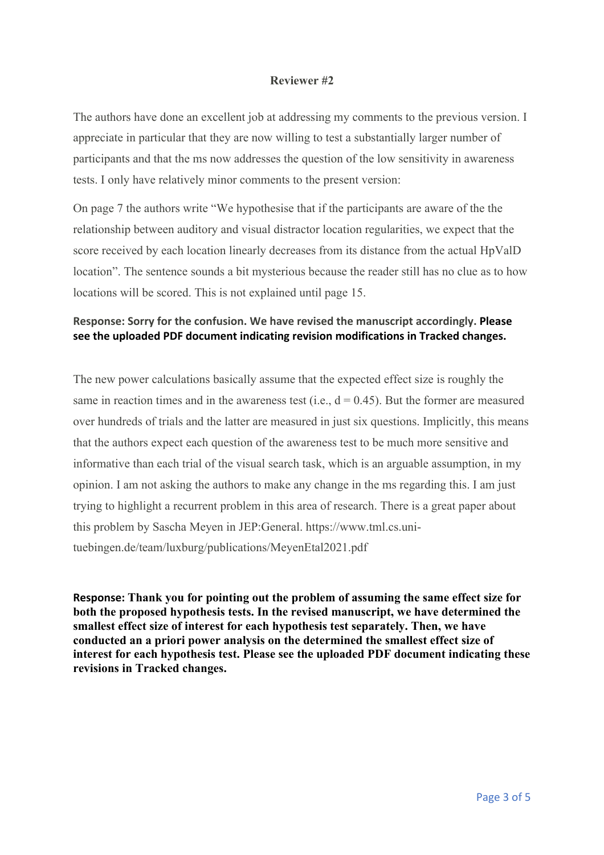### **Reviewer #2**

The authors have done an excellent job at addressing my comments to the previous version. I appreciate in particular that they are now willing to test a substantially larger number of participants and that the ms now addresses the question of the low sensitivity in awareness tests. I only have relatively minor comments to the present version:

On page 7 the authors write "We hypothesise that if the participants are aware of the the relationship between auditory and visual distractor location regularities, we expect that the score received by each location linearly decreases from its distance from the actual HpValD location". The sentence sounds a bit mysterious because the reader still has no clue as to how locations will be scored. This is not explained until page 15.

## **Response: Sorry for the confusion. We have revised the manuscript accordingly. Please see the uploaded PDF document indicating revision modifications in Tracked changes.**

The new power calculations basically assume that the expected effect size is roughly the same in reaction times and in the awareness test (i.e.,  $d = 0.45$ ). But the former are measured over hundreds of trials and the latter are measured in just six questions. Implicitly, this means that the authors expect each question of the awareness test to be much more sensitive and informative than each trial of the visual search task, which is an arguable assumption, in my opinion. I am not asking the authors to make any change in the ms regarding this. I am just trying to highlight a recurrent problem in this area of research. There is a great paper about this problem by Sascha Meyen in JEP:General. https://www.tml.cs.unituebingen.de/team/luxburg/publications/MeyenEtal2021.pdf

**Response: Thank you for pointing out the problem of assuming the same effect size for both the proposed hypothesis tests. In the revised manuscript, we have determined the smallest effect size of interest for each hypothesis test separately. Then, we have conducted an a priori power analysis on the determined the smallest effect size of interest for each hypothesis test. Please see the uploaded PDF document indicating these revisions in Tracked changes.**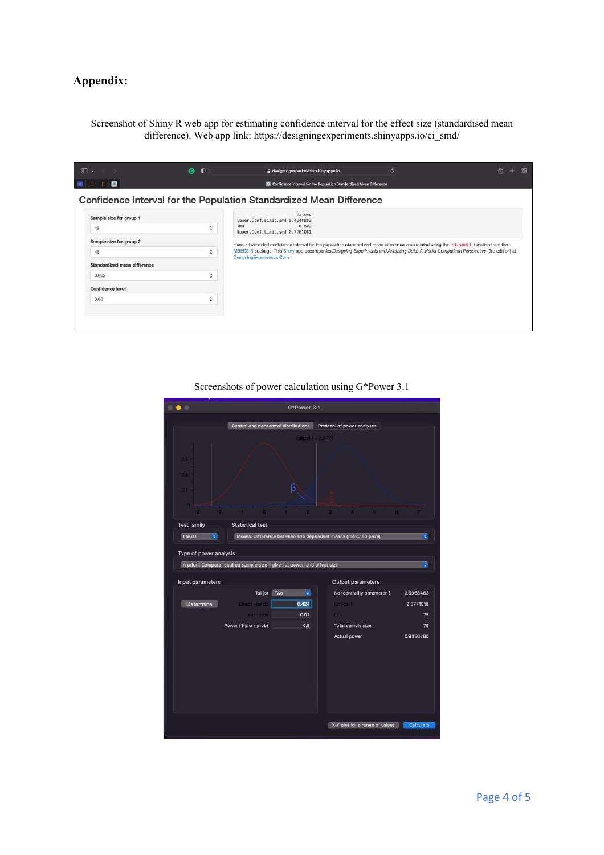# **Appendix:**

Screenshot of Shiny R web app for estimating confidence interval for the effect size (standardised mean difference). Web app link: https://designingexperiments.shinyapps.io/ci\_smd/

| 田 -                          | $\bullet$<br>⋒     | e designingexperiments.shinyapps.io                                                                                                                                | ö. | 屳<br>88 |  |  |  |  |
|------------------------------|--------------------|--------------------------------------------------------------------------------------------------------------------------------------------------------------------|----|---------|--|--|--|--|
| œ                            |                    | S Confidence Interval for the Population Standardized Mean Difference                                                                                              |    |         |  |  |  |  |
|                              |                    | Confidence Interval for the Population Standardized Mean Difference                                                                                                |    |         |  |  |  |  |
| Sample size for group 1      |                    | Values<br>Lower, Conf.Limit.smd 0.4246803                                                                                                                          |    |         |  |  |  |  |
| 48                           | $\hat{\mathbf{c}}$ | 0.602<br>smd<br>Upper.Conf.Limit.smd 0.7761081                                                                                                                     |    |         |  |  |  |  |
| Sample size for group 2      |                    | Here, a two-sided confidence interval for the population standardized mean difference is calcuated using the ci. smd() function from the                           |    |         |  |  |  |  |
| 48                           | $\hat{\mathbf{c}}$ | MBESS R package. This Shiny app accompanies Designing Experiments and Analyzing Data: A Model Comparison Perspective (3rd edition) at<br>DesigningExperiments,Com. |    |         |  |  |  |  |
| Standardized mean difference |                    |                                                                                                                                                                    |    |         |  |  |  |  |
| 0.602                        | $\hat{\mathbf{v}}$ |                                                                                                                                                                    |    |         |  |  |  |  |
| Confidence level             |                    |                                                                                                                                                                    |    |         |  |  |  |  |
| 0.60                         | Ö.                 |                                                                                                                                                                    |    |         |  |  |  |  |
|                              |                    |                                                                                                                                                                    |    |         |  |  |  |  |
|                              |                    |                                                                                                                                                                    |    |         |  |  |  |  |
|                              |                    |                                                                                                                                                                    |    |         |  |  |  |  |